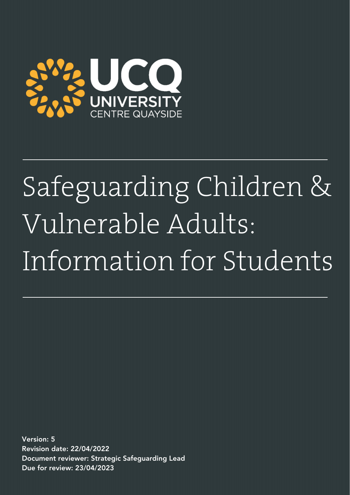

# Safeguarding Children & Vulnerable Adults: Information for Students

Version: 5 Revision date: 22/04/2022 Document reviewer: Strategic Safeguarding Lead Due for review: 23/04/2023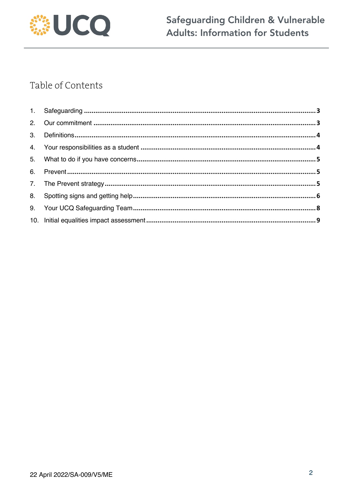

# Table of Contents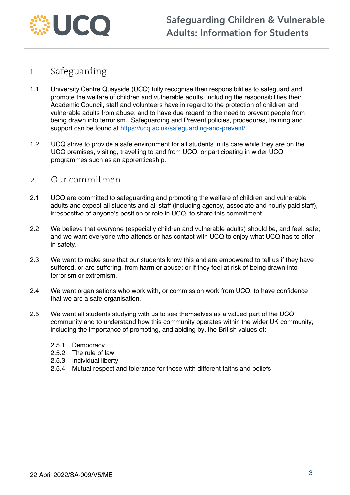

### 1. Safeguarding

- 1.1 University Centre Quayside (UCQ) fully recognise their responsibilities to safeguard and promote the welfare of children and vulnerable adults, including the responsibilities their Academic Council, staff and volunteers have in regard to the protection of children and vulnerable adults from abuse; and to have due regard to the need to prevent people from being drawn into terrorism. Safeguarding and Prevent policies, procedures, training and support can be found at https://ucq.ac.uk/safeguarding-and-prevent/
- 1.2 UCQ strive to provide a safe environment for all students in its care while they are on the UCQ premises, visiting, travelling to and from UCQ, or participating in wider UCQ programmes such as an apprenticeship.

#### 2. Our commitment

- 2.1 UCQ are committed to safeguarding and promoting the welfare of children and vulnerable adults and expect all students and all staff (including agency, associate and hourly paid staff), irrespective of anyone's position or role in UCQ, to share this commitment.
- 2.2 We believe that everyone (especially children and vulnerable adults) should be, and feel, safe; and we want everyone who attends or has contact with UCQ to enjoy what UCQ has to offer in safety.
- 2.3 We want to make sure that our students know this and are empowered to tell us if they have suffered, or are suffering, from harm or abuse; or if they feel at risk of being drawn into terrorism or extremism.
- 2.4 We want organisations who work with, or commission work from UCQ, to have confidence that we are a safe organisation.
- 2.5 We want all students studying with us to see themselves as a valued part of the UCQ community and to understand how this community operates within the wider UK community, including the importance of promoting, and abiding by, the British values of:
	- 2.5.1 Democracy
	- 2.5.2 The rule of law
	- 2.5.3 Individual liberty
	- 2.5.4 Mutual respect and tolerance for those with different faiths and beliefs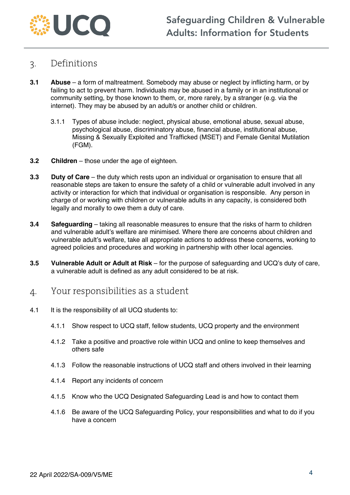

#### 3. Definitions

- **3.1 Abuse**  a form of maltreatment. Somebody may abuse or neglect by inflicting harm, or by failing to act to prevent harm. Individuals may be abused in a family or in an institutional or community setting, by those known to them, or, more rarely, by a stranger (e.g. via the internet). They may be abused by an adult/s or another child or children.
	- 3.1.1 Types of abuse include: neglect, physical abuse, emotional abuse, sexual abuse, psychological abuse, discriminatory abuse, financial abuse, institutional abuse, Missing & Sexually Exploited and Trafficked (MSET) and Female Genital Mutilation (FGM).
- **3.2 Children** those under the age of eighteen.
- **3.3 Duty of Care** the duty which rests upon an individual or organisation to ensure that all reasonable steps are taken to ensure the safety of a child or vulnerable adult involved in any activity or interaction for which that individual or organisation is responsible. Any person in charge of or working with children or vulnerable adults in any capacity, is considered both legally and morally to owe them a duty of care.
- **3.4 Safeguarding** taking all reasonable measures to ensure that the risks of harm to children and vulnerable adult's welfare are minimised. Where there are concerns about children and vulnerable adult's welfare, take all appropriate actions to address these concerns, working to agreed policies and procedures and working in partnership with other local agencies.
- **3.5 Vulnerable Adult or Adult at Risk**  for the purpose of safeguarding and UCQ's duty of care, a vulnerable adult is defined as any adult considered to be at risk.
- 4. Your responsibilities as a student
- 4.1 It is the responsibility of all UCQ students to:
	- 4.1.1 Show respect to UCQ staff, fellow students, UCQ property and the environment
	- 4.1.2 Take a positive and proactive role within UCQ and online to keep themselves and others safe
	- 4.1.3 Follow the reasonable instructions of UCQ staff and others involved in their learning
	- 4.1.4 Report any incidents of concern
	- 4.1.5 Know who the UCQ Designated Safeguarding Lead is and how to contact them
	- 4.1.6 Be aware of the UCQ Safeguarding Policy, your responsibilities and what to do if you have a concern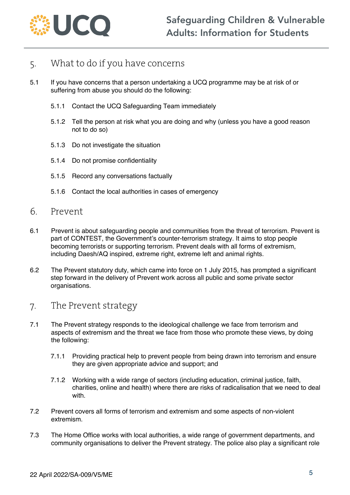

## 5. What to do if you have concerns

- 5.1 If you have concerns that a person undertaking a UCQ programme may be at risk of or suffering from abuse you should do the following:
	- 5.1.1 Contact the UCQ Safeguarding Team immediately
	- 5.1.2 Tell the person at risk what you are doing and why (unless you have a good reason not to do so)
	- 5.1.3 Do not investigate the situation
	- 5.1.4 Do not promise confidentiality
	- 5.1.5 Record any conversations factually
	- 5.1.6 Contact the local authorities in cases of emergency
- 6. Prevent
- 6.1 Prevent is about safeguarding people and communities from the threat of terrorism. Prevent is part of CONTEST, the Government's counter-terrorism strategy. It aims to stop people becoming terrorists or supporting terrorism. Prevent deals with all forms of extremism, including Daesh/AQ inspired, extreme right, extreme left and animal rights.
- 6.2 The Prevent statutory duty, which came into force on 1 July 2015, has prompted a significant step forward in the delivery of Prevent work across all public and some private sector organisations.
- 7. The Prevent strategy
- 7.1 The Prevent strategy responds to the ideological challenge we face from terrorism and aspects of extremism and the threat we face from those who promote these views, by doing the following:
	- 7.1.1 Providing practical help to prevent people from being drawn into terrorism and ensure they are given appropriate advice and support; and
	- 7.1.2 Working with a wide range of sectors (including education, criminal justice, faith, charities, online and health) where there are risks of radicalisation that we need to deal with.
- 7.2 Prevent covers all forms of terrorism and extremism and some aspects of non-violent extremism.
- 7.3 The Home Office works with local authorities, a wide range of government departments, and community organisations to deliver the Prevent strategy. The police also play a significant role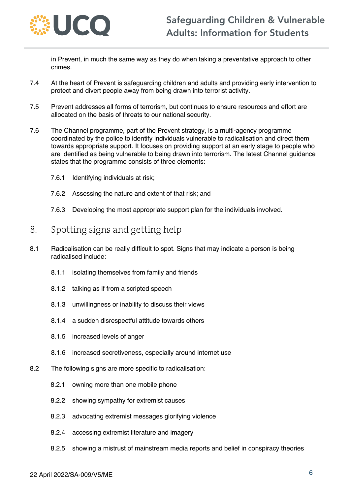

in Prevent, in much the same way as they do when taking a preventative approach to other crimes.

- 7.4 At the heart of Prevent is safeguarding children and adults and providing early intervention to protect and divert people away from being drawn into terrorist activity.
- 7.5 Prevent addresses all forms of terrorism, but continues to ensure resources and effort are allocated on the basis of threats to our national security.
- 7.6 The Channel programme, part of the Prevent strategy, is a multi-agency programme coordinated by the police to identify individuals vulnerable to radicalisation and direct them towards appropriate support. It focuses on providing support at an early stage to people who are identified as being vulnerable to being drawn into terrorism. The latest Channel guidance states that the programme consists of three elements:
	- 7.6.1 Identifying individuals at risk;
	- 7.6.2 Assessing the nature and extent of that risk; and
	- 7.6.3 Developing the most appropriate support plan for the individuals involved.

#### 8. Spotting signs and getting help

- 8.1 Radicalisation can be really difficult to spot. Signs that may indicate a person is being radicalised include:
	- 8.1.1 isolating themselves from family and friends
	- 8.1.2 talking as if from a scripted speech
	- 8.1.3 unwillingness or inability to discuss their views
	- 8.1.4 a sudden disrespectful attitude towards others
	- 8.1.5 increased levels of anger
	- 8.1.6 increased secretiveness, especially around internet use
- 8.2 The following signs are more specific to radicalisation:
	- 8.2.1 owning more than one mobile phone
	- 8.2.2 showing sympathy for extremist causes
	- 8.2.3 advocating extremist messages glorifying violence
	- 8.2.4 accessing extremist literature and imagery
	- 8.2.5 showing a mistrust of mainstream media reports and belief in conspiracy theories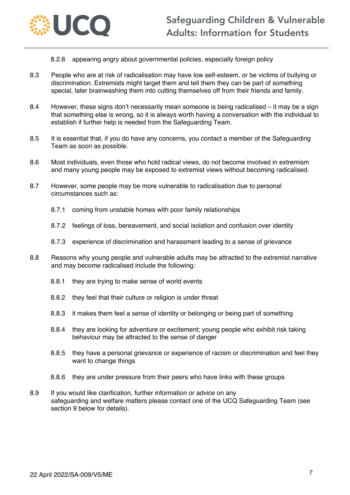

- 8.2.6 appearing angry about governmental policies, especially foreign policy
- 8.3 People who are at risk of radicalisation may have low self-esteem, or be victims of bullying or discrimination. Extremists might target them and tell them they can be part of something special, later brainwashing them into cutting themselves off from their friends and family.
- 8.4 However, these signs don't necessarily mean someone is being radicalised it may be a sign that something else is wrong, so it is always worth having a conversation with the individual to establish if further help is needed from the Safeguarding Team.
- 8.5 It is essential that, if you do have any concerns, you contact a member of the Safeguarding Team as soon as possible.
- 8.6 Most individuals, even those who hold radical views, do not become involved in extremism and many young people may be exposed to extremist views without becoming radicalised.
- 8.7 However, some people may be more vulnerable to radicalisation due to personal circumstances such as:
	- 8.7.1 coming from unstable homes with poor family relationships
	- 8.7.2 feelings of loss, bereavement, and social isolation and confusion over identity
	- 8.7.3 experience of discrimination and harassment leading to a sense of grievance
- 8.8 Reasons why young people and vulnerable adults may be attracted to the extremist narrative and may become radicalised include the following:
	- 8.8.1 they are trying to make sense of world events
	- 8.8.2 they feel that their culture or religion is under threat
	- 8.8.3 it makes them feel a sense of identity or belonging or being part of something
	- 8.8.4 they are looking for adventure or excitement; young people who exhibit risk taking behaviour may be attracted to the sense of danger
	- 8.8.5 they have a personal grievance or experience of racism or discrimination and feel they want to change things
	- 8.8.6 they are under pressure from their peers who have links with these groups
- 8.9 If you would like clarification, further information or advice on any safeguarding and welfare matters please contact one of the UCQ Safeguarding Team (see section 9 below for details).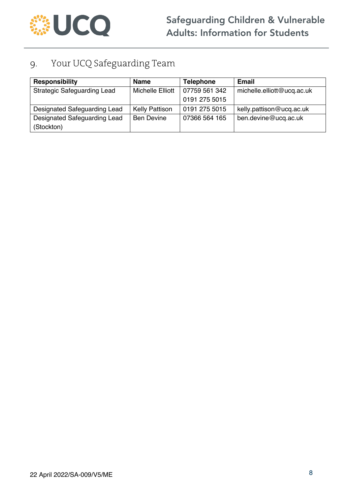

# 9. Your UCQ Safeguarding Team

| <b>Responsibility</b>              | <b>Name</b>             | <b>Telephone</b> | <b>Email</b>               |
|------------------------------------|-------------------------|------------------|----------------------------|
| <b>Strategic Safeguarding Lead</b> | <b>Michelle Elliott</b> | 07759 561 342    | michelle.elliott@ucq.ac.uk |
|                                    |                         | 0191 275 5015    |                            |
| Designated Safeguarding Lead       | <b>Kelly Pattison</b>   | 0191 275 5015    | kelly.pattison@ucq.ac.uk   |
| Designated Safeguarding Lead       | <b>Ben Devine</b>       | 07366 564 165    | ben.devine@ucq.ac.uk       |
| (Stockton)                         |                         |                  |                            |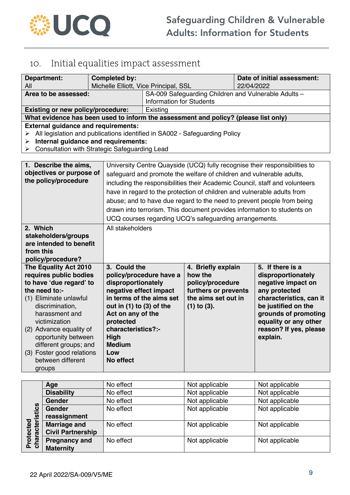

# 10. Initial equalities impact assessment

| <b>Department:</b>                                                                  | <b>Completed by:</b>         |                                                                                         |                                                                      | Date of initial assessment: |                                                                            |
|-------------------------------------------------------------------------------------|------------------------------|-----------------------------------------------------------------------------------------|----------------------------------------------------------------------|-----------------------------|----------------------------------------------------------------------------|
| All                                                                                 |                              | Michelle Elliott, Vice Principal, SSL                                                   |                                                                      |                             | 22/04/2022                                                                 |
| Area to be assessed:                                                                |                              | SA-009 Safeguarding Children and Vulnerable Adults -<br><b>Information for Students</b> |                                                                      |                             |                                                                            |
| <b>Existing or new policy/procedure:</b>                                            |                              | Existing                                                                                |                                                                      |                             |                                                                            |
| What evidence has been used to inform the assessment and policy? (please list only) |                              |                                                                                         |                                                                      |                             |                                                                            |
| <b>External guidance and requirements:</b>                                          |                              |                                                                                         |                                                                      |                             |                                                                            |
| ➤                                                                                   |                              | All legislation and publications identified in SA002 - Safeguarding Policy              |                                                                      |                             |                                                                            |
| Internal guidance and requirements:<br>➤                                            |                              |                                                                                         |                                                                      |                             |                                                                            |
| <b>Consultation with Strategic Safeguarding Lead</b><br>➤                           |                              |                                                                                         |                                                                      |                             |                                                                            |
|                                                                                     |                              |                                                                                         |                                                                      |                             |                                                                            |
| 1. Describe the aims,                                                               |                              |                                                                                         |                                                                      |                             | University Centre Quayside (UCQ) fully recognise their responsibilities to |
| objectives or purpose of                                                            |                              |                                                                                         | safeguard and promote the welfare of children and vulnerable adults, |                             |                                                                            |
| the policy/procedure                                                                |                              | including the responsibilities their Academic Council, staff and volunteers             |                                                                      |                             |                                                                            |
|                                                                                     |                              | have in regard to the protection of children and vulnerable adults from                 |                                                                      |                             |                                                                            |
|                                                                                     |                              | abuse; and to have due regard to the need to prevent people from being                  |                                                                      |                             |                                                                            |
|                                                                                     |                              | drawn into terrorism. This document provides information to students on                 |                                                                      |                             |                                                                            |
|                                                                                     |                              | UCQ courses regarding UCQ's safeguarding arrangements.                                  |                                                                      |                             |                                                                            |
| 2. Which                                                                            |                              | All stakeholders                                                                        |                                                                      |                             |                                                                            |
| stakeholders/groups                                                                 |                              |                                                                                         |                                                                      |                             |                                                                            |
| are intended to benefit                                                             |                              |                                                                                         |                                                                      |                             |                                                                            |
| from this                                                                           |                              |                                                                                         |                                                                      |                             |                                                                            |
| policy/procedure?                                                                   |                              |                                                                                         |                                                                      |                             |                                                                            |
| The Equality Act 2010                                                               | 3. Could the                 |                                                                                         | 4. Briefly explain                                                   |                             | 5. If there is a                                                           |
| requires public bodies                                                              |                              | policy/procedure have a                                                                 | how the                                                              |                             | disproportionately                                                         |
| to have 'due regard' to                                                             | disproportionately           |                                                                                         | policy/procedure                                                     |                             | negative impact on                                                         |
| the need to:-<br>(1) Eliminate unlawful                                             | negative effect impact       | in terms of the aims set                                                                | furthers or prevents<br>the aims set out in                          |                             | any protected<br>characteristics, can it                                   |
| discrimination,                                                                     | out in $(1)$ to $(3)$ of the |                                                                                         | $(1)$ to $(3)$ .                                                     |                             | be justified on the                                                        |
| harassment and                                                                      | Act on any of the            |                                                                                         |                                                                      |                             | grounds of promoting                                                       |
| victimization                                                                       | protected                    |                                                                                         |                                                                      |                             | equality or any other                                                      |
| (2) Advance equality of                                                             | characteristics?:-           |                                                                                         |                                                                      |                             | reason? If yes, please                                                     |
| opportunity between                                                                 | High                         |                                                                                         |                                                                      |                             | explain.                                                                   |
| different groups; and                                                               | <b>Medium</b>                |                                                                                         |                                                                      |                             |                                                                            |
| (3) Foster good relations                                                           | Low                          |                                                                                         |                                                                      |                             |                                                                            |
| between different                                                                   | No effect                    |                                                                                         |                                                                      |                             |                                                                            |
| groups                                                                              |                              |                                                                                         |                                                                      |                             |                                                                            |

|                | Age                      | No effect | Not applicable | Not applicable |
|----------------|--------------------------|-----------|----------------|----------------|
|                | <b>Disability</b>        | No effect | Not applicable | Not applicable |
|                | <b>Gender</b>            | No effect | Not applicable | Not applicable |
|                | <b>Gender</b>            | No effect | Not applicable | Not applicable |
|                | reassignment             |           |                |                |
| rotected       | <b>Marriage and</b>      | No effect | Not applicable | Not applicable |
|                | <b>Civil Partnership</b> |           |                |                |
| haracteristics | <b>Pregnancy and</b>     | No effect | Not applicable | Not applicable |
| ್<br>௳         | <b>Maternity</b>         |           |                |                |